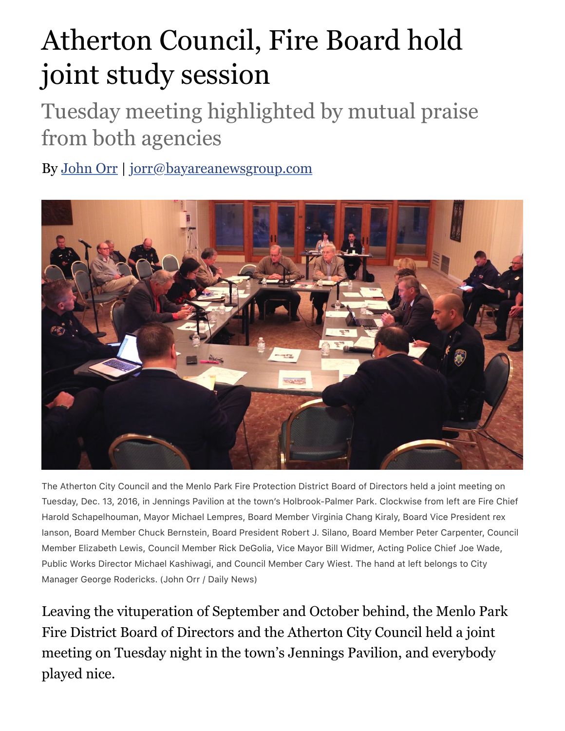## Atherton Council, Fire Board hold joint study session

## Tuesday meeting highlighted by mutual praise from both agencies

By [John Orr](http://www.mercurynews.com/author/john-orr/) | [jorr@bayareanewsgroup.com](mailto:jorr@bayareanewsgroup.com)



The Atherton City Council and the Menlo Park Fire Protection District Board of Directors held a joint meeting on Tuesday, Dec. 13, 2016, in Jennings Pavilion at the town's Holbrook-Palmer Park. Clockwise from left are Fire Chief Harold Schapelhouman, Mayor Michael Lempres, Board Member Virginia Chang Kiraly, Board Vice President rex Ianson, Board Member Chuck Bernstein, Board President Robert J. Silano, Board Member Peter Carpenter, Council Member Elizabeth Lewis, Council Member Rick DeGolia, Vice Mayor Bill Widmer, Acting Police Chief Joe Wade, Public Works Director Michael Kashiwagi, and Council Member Cary Wiest. The hand at left belongs to City Manager George Rodericks. (John Orr / Daily News)

Leaving the vituperation of September and October behind, the Menlo Park Fire District Board of Directors and the Atherton City Council held a joint meeting on Tuesday night in the town's Jennings Pavilion, and everybody played nice.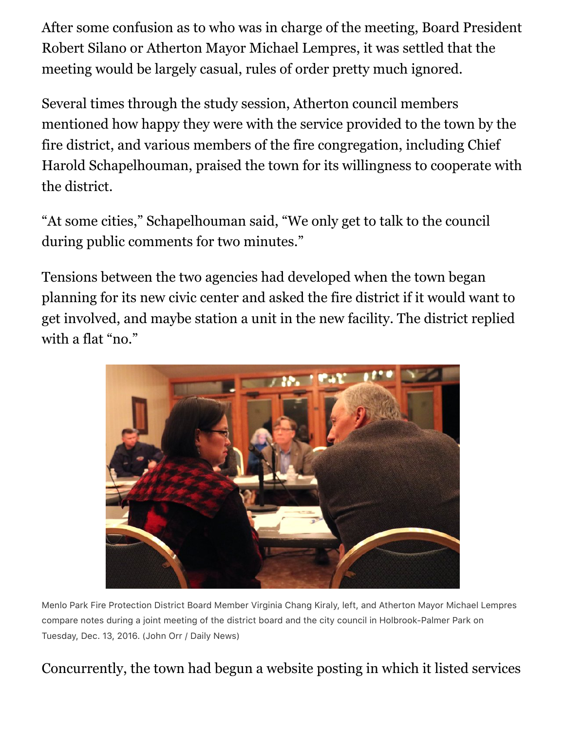After some confusion as to who was in charge of the meeting, Board President Robert Silano or Atherton Mayor Michael Lempres, it was settled that the meeting would be largely casual, rules of order pretty much ignored.

Several times through the study session, Atherton council members mentioned how happy they were with the service provided to the town by the fire district, and various members of the fire congregation, including Chief Harold Schapelhouman, praised the town for its willingness to cooperate with the district.

"At some cities," Schapelhouman said, "We only get to talk to the council during public comments for two minutes."

Tensions between the two agencies had developed when the town began planning for its new civic center and asked the fire district if it would want to get involved, and maybe station a unit in the new facility. The district replied with a flat "no."



Menlo Park Fire Protection District Board Member Virginia Chang Kiraly, left, and Atherton Mayor Michael Lempres compare notes during a joint meeting of the district board and the city council in Holbrook-Palmer Park on Tuesday, Dec. 13, 2016. (John Orr / Daily News)

Concurrently, the town had begun a website posting in which it listed services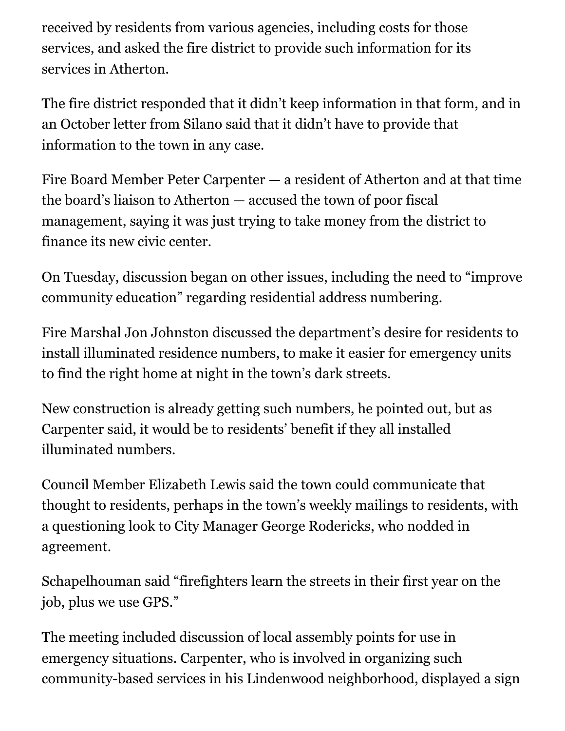received by residents from various agencies, including costs for those services, and asked the fire district to provide such information for its services in Atherton.

The fire district responded that it didn't keep information in that form, and in an October letter from Silano said that it didn't have to provide that information to the town in any case.

Fire Board Member Peter Carpenter — a resident of Atherton and at that time the board's liaison to Atherton — accused the town of poor fiscal management, saying it was just trying to take money from the district to finance its new civic center.

On Tuesday, discussion began on other issues, including the need to "improve community education" regarding residential address numbering.

Fire Marshal Jon Johnston discussed the department's desire for residents to install illuminated residence numbers, to make it easier for emergency units to find the right home at night in the town's dark streets.

New construction is already getting such numbers, he pointed out, but as Carpenter said, it would be to residents' benefit if they all installed illuminated numbers.

Council Member Elizabeth Lewis said the town could communicate that thought to residents, perhaps in the town's weekly mailings to residents, with a questioning look to City Manager George Rodericks, who nodded in agreement.

Schapelhouman said "firefighters learn the streets in their first year on the job, plus we use GPS."

The meeting included discussion of local assembly points for use in emergency situations. Carpenter, who is involved in organizing such community-based services in his Lindenwood neighborhood, displayed a sign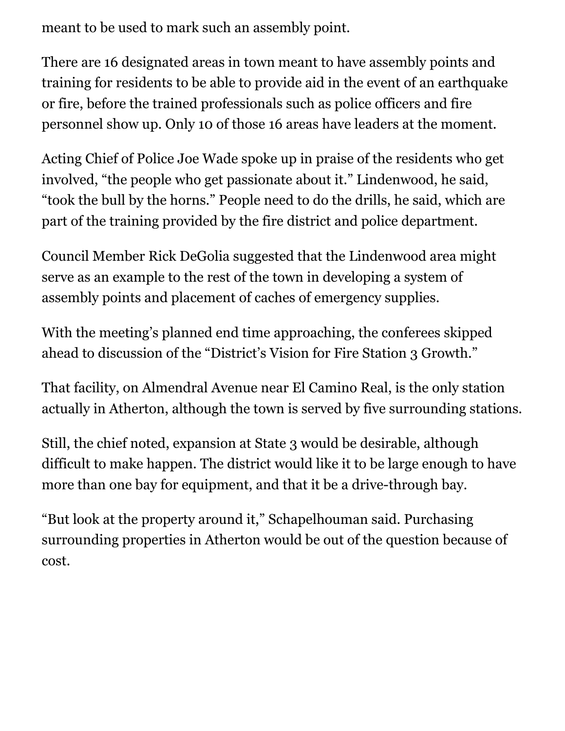meant to be used to mark such an assembly point.

There are 16 designated areas in town meant to have assembly points and training for residents to be able to provide aid in the event of an earthquake or fire, before the trained professionals such as police officers and fire personnel show up. Only 10 of those 16 areas have leaders at the moment.

Acting Chief of Police Joe Wade spoke up in praise of the residents who get involved, "the people who get passionate about it." Lindenwood, he said, "took the bull by the horns." People need to do the drills, he said, which are part of the training provided by the fire district and police department.

Council Member Rick DeGolia suggested that the Lindenwood area might serve as an example to the rest of the town in developing a system of assembly points and placement of caches of emergency supplies.

With the meeting's planned end time approaching, the conferees skipped ahead to discussion of the "District's Vision for Fire Station 3 Growth."

That facility, on Almendral Avenue near El Camino Real, is the only station actually in Atherton, although the town is served by five surrounding stations.

Still, the chief noted, expansion at State 3 would be desirable, although difficult to make happen. The district would like it to be large enough to have more than one bay for equipment, and that it be a drive-through bay.

"But look at the property around it," Schapelhouman said. Purchasing surrounding properties in Atherton would be out of the question because of cost.